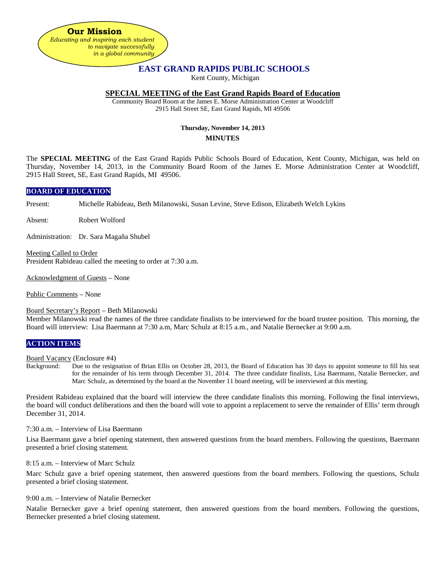**Our Mission** *Educating and inspiring each student to navigate successfully in a global community*

# **EAST GRAND RAPIDS PUBLIC SCHOOLS**

Kent County, Michigan

### **SPECIAL MEETING of the East Grand Rapids Board of Education**

Community Board Room at the James E. Morse Administration Center at Woodcliff 2915 Hall Street SE, East Grand Rapids, MI 49506

#### **Thursday, November 14, 2013 MINUTES**

The **SPECIAL MEETING** of the East Grand Rapids Public Schools Board of Education, Kent County, Michigan, was held on Thursday, November 14, 2013, in the Community Board Room of the James E. Morse Administration Center at Woodcliff, 2915 Hall Street, SE, East Grand Rapids, MI 49506.

#### **BOARD OF EDUCATION**

Present: Michelle Rabideau, Beth Milanowski, Susan Levine, Steve Edison, Elizabeth Welch Lykins

Absent: Robert Wolford

Administration: Dr. Sara Magaña Shubel

Meeting Called to Order President Rabideau called the meeting to order at 7:30 a.m.

Acknowledgment of Guests – None

Public Comments – None

#### Board Secretary's Report – Beth Milanowski

Member Milanowski read the names of the three candidate finalists to be interviewed for the board trustee position. This morning, the Board will interview: Lisa Baermann at 7:30 a.m, Marc Schulz at 8:15 a.m., and Natalie Bernecker at 9:00 a.m.

#### **ACTION ITEMS**

Board Vacancy (Enclosure #4)<br>Background: Due to the resign

Due to the resignation of Brian Ellis on October 28, 2013, the Board of Education has 30 days to appoint someone to fill his seat for the remainder of his term through December 31, 2014. The three candidate finalists, Lisa Baermann, Natalie Bernecker, and Marc Schulz, as determined by the board at the November 11 board meeting, will be interviewed at this meeting.

President Rabideau explained that the board will interview the three candidate finalists this morning. Following the final interviews, the board will conduct deliberations and then the board will vote to appoint a replacement to serve the remainder of Ellis' term through December 31, 2014.

7:30 a.m. – Interview of Lisa Baermann

Lisa Baermann gave a brief opening statement, then answered questions from the board members. Following the questions, Baermann presented a brief closing statement.

8:15 a.m. – Interview of Marc Schulz

Marc Schulz gave a brief opening statement, then answered questions from the board members. Following the questions, Schulz presented a brief closing statement.

9:00 a.m. – Interview of Natalie Bernecker

Natalie Bernecker gave a brief opening statement, then answered questions from the board members. Following the questions, Bernecker presented a brief closing statement.